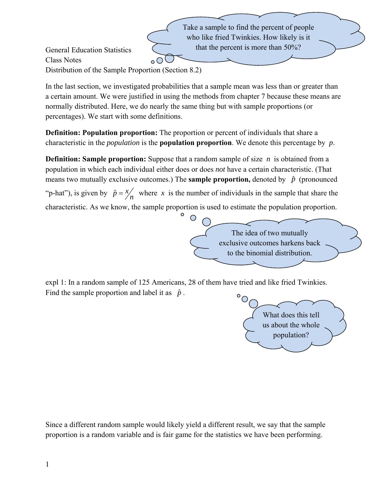Take a sample to find the percent of people who like fried Twinkies. How likely is it that the percent is more than 50%?

General Education Statistics Class Notes Distribution of the Sample Proportion (Section 8.2)

In the last section, we investigated probabilities that a sample mean was less than or greater than a certain amount. We were justified in using the methods from chapter 7 because these means are normally distributed. Here, we do nearly the same thing but with sample proportions (or percentages). We start with some definitions.

**Definition: Population proportion:** The proportion or percent of individuals that share a characteristic in the *population* is the **population proportion**. We denote this percentage by *p*.

**Definition: Sample proportion:** Suppose that a random sample of size *n* is obtained from a population in which each individual either does or does *not* have a certain characteristic. (That means two mutually exclusive outcomes.) The **sample proportion**, denoted by  $\hat{p}$  (pronounced "p-hat"), is given by  $\hat{p} = \frac{x}{n}$  where *x* is the number of individuals in the sample that share the characteristic. As we know, the sample proportion is used to estimate the population proportion.



expl 1: In a random sample of 125 Americans, 28 of them have tried and like fried Twinkies. Find the sample proportion and label it as  $\hat{p}$ .  $\circ_{\mathcal{O}}$ 



Since a different random sample would likely yield a different result, we say that the sample proportion is a random variable and is fair game for the statistics we have been performing.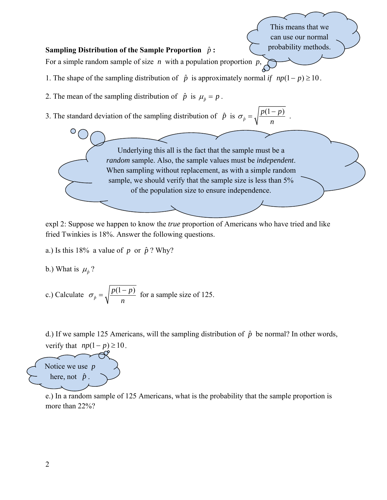## **Sampling Distribution of the Sample Proportion** *p*ˆ **:**  For a simple random sample of size *n* with a population proportion *p*, 1. The shape of the sampling distribution of  $\hat{p}$  is approximately normal *if*  $np(1-p) \ge 10$ . 2. The mean of the sampling distribution of  $\hat{p}$  is  $\mu_{\hat{p}} = p$ . 3. The standard deviation of the sampling distribution of  $\hat{p}$  is  $\sigma_{\hat{p}} = \sqrt{\frac{p(1-p)}{n}}$ *p*  $p(1-p)$ *n*  $\sigma_{\hat{p}} = \sqrt{\frac{p(1-p)}{p}}$ . Underlying this all is the fact that the sample must be a *random* sample. Also, the sample values must be *independent*. When sampling without replacement, as with a simple random sample, we should verify that the sample size is less than 5% of the population size to ensure independence. This means that we can use our normal probability methods.

expl 2: Suppose we happen to know the *true* proportion of Americans who have tried and like fried Twinkies is 18%. Answer the following questions.

a.) Is this 18% a value of  $p$  or  $\hat{p}$ ? Why?

b.) What is 
$$
\mu_{\hat{p}}
$$
?

c.) Calculate 
$$
\sigma_{\hat{p}} = \sqrt{\frac{p(1-p)}{n}}
$$
 for a sample size of 125.

d.) If we sample 125 Americans, will the sampling distribution of  $\hat{p}$  be normal? In other words, verify that  $np(1-p) \ge 10$ .



e.) In a random sample of 125 Americans, what is the probability that the sample proportion is more than 22%?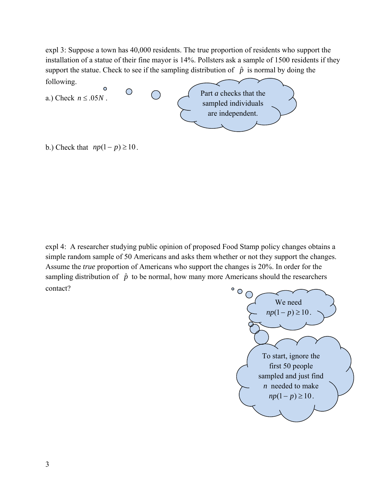expl 3: Suppose a town has 40,000 residents. The true proportion of residents who support the installation of a statue of their fine mayor is 14%. Pollsters ask a sample of 1500 residents if they support the statue. Check to see if the sampling distribution of  $\hat{p}$  is normal by doing the



b.) Check that  $np(1-p) \ge 10$ .

expl 4: A researcher studying public opinion of proposed Food Stamp policy changes obtains a simple random sample of 50 Americans and asks them whether or not they support the changes. Assume the *true* proportion of Americans who support the changes is 20%. In order for the sampling distribution of  $\hat{p}$  to be normal, how many more Americans should the researchers contact?

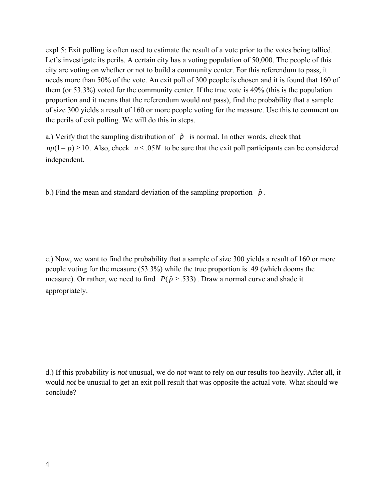expl 5: Exit polling is often used to estimate the result of a vote prior to the votes being tallied. Let's investigate its perils. A certain city has a voting population of 50,000. The people of this city are voting on whether or not to build a community center. For this referendum to pass, it needs more than 50% of the vote. An exit poll of 300 people is chosen and it is found that 160 of them (or 53.3%) voted for the community center. If the true vote is 49% (this is the population proportion and it means that the referendum would *not* pass), find the probability that a sample of size 300 yields a result of 160 or more people voting for the measure. Use this to comment on the perils of exit polling. We will do this in steps.

a.) Verify that the sampling distribution of  $\hat{p}$  is normal. In other words, check that  $np(1-p) \ge 10$ . Also, check  $n \le 0.05N$  to be sure that the exit poll participants can be considered independent.

b.) Find the mean and standard deviation of the sampling proportion  $\hat{p}$ .

c.) Now, we want to find the probability that a sample of size 300 yields a result of 160 or more people voting for the measure (53.3%) while the true proportion is .49 (which dooms the measure). Or rather, we need to find  $P(\hat{p} \ge 0.533)$ . Draw a normal curve and shade it appropriately.

d.) If this probability is *not* unusual, we do *not* want to rely on our results too heavily. After all, it would *not* be unusual to get an exit poll result that was opposite the actual vote. What should we conclude?